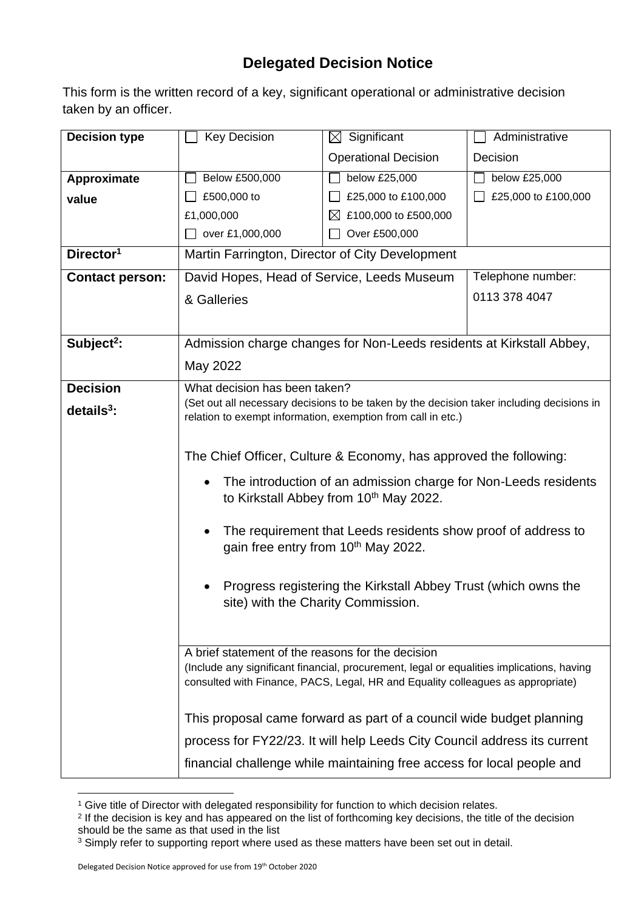## **Delegated Decision Notice**

This form is the written record of a key, significant operational or administrative decision taken by an officer.

| <b>Decision type</b>   | <b>Key Decision</b>                                                                                                                                                          | $\boxtimes$ Significant                            | Administrative      |  |  |
|------------------------|------------------------------------------------------------------------------------------------------------------------------------------------------------------------------|----------------------------------------------------|---------------------|--|--|
|                        |                                                                                                                                                                              | <b>Operational Decision</b>                        | Decision            |  |  |
| Approximate            | Below £500,000                                                                                                                                                               | below £25,000                                      | below £25,000       |  |  |
| value                  | £500,000 to                                                                                                                                                                  | £25,000 to £100,000                                | £25,000 to £100,000 |  |  |
|                        | £1,000,000                                                                                                                                                                   | £100,000 to £500,000<br>$\boxtimes$                |                     |  |  |
|                        | over £1,000,000                                                                                                                                                              | Over £500,000                                      |                     |  |  |
| Director <sup>1</sup>  | Martin Farrington, Director of City Development                                                                                                                              |                                                    |                     |  |  |
| <b>Contact person:</b> | David Hopes, Head of Service, Leeds Museum<br>Telephone number:                                                                                                              |                                                    |                     |  |  |
|                        | & Galleries                                                                                                                                                                  |                                                    | 0113 378 4047       |  |  |
|                        |                                                                                                                                                                              |                                                    |                     |  |  |
| Subject <sup>2</sup> : | Admission charge changes for Non-Leeds residents at Kirkstall Abbey,                                                                                                         |                                                    |                     |  |  |
|                        | May 2022                                                                                                                                                                     |                                                    |                     |  |  |
| <b>Decision</b>        | What decision has been taken?                                                                                                                                                |                                                    |                     |  |  |
| $details3$ :           | (Set out all necessary decisions to be taken by the decision taker including decisions in                                                                                    |                                                    |                     |  |  |
|                        | relation to exempt information, exemption from call in etc.)                                                                                                                 |                                                    |                     |  |  |
|                        |                                                                                                                                                                              |                                                    |                     |  |  |
|                        | The Chief Officer, Culture & Economy, has approved the following:                                                                                                            |                                                    |                     |  |  |
|                        | The introduction of an admission charge for Non-Leeds residents                                                                                                              |                                                    |                     |  |  |
|                        |                                                                                                                                                                              | to Kirkstall Abbey from 10 <sup>th</sup> May 2022. |                     |  |  |
|                        | The requirement that Leeds residents show proof of address to                                                                                                                |                                                    |                     |  |  |
|                        | gain free entry from 10 <sup>th</sup> May 2022.                                                                                                                              |                                                    |                     |  |  |
|                        |                                                                                                                                                                              |                                                    |                     |  |  |
|                        | Progress registering the Kirkstall Abbey Trust (which owns the                                                                                                               |                                                    |                     |  |  |
|                        | site) with the Charity Commission.                                                                                                                                           |                                                    |                     |  |  |
|                        |                                                                                                                                                                              |                                                    |                     |  |  |
|                        | A brief statement of the reasons for the decision                                                                                                                            |                                                    |                     |  |  |
|                        | (Include any significant financial, procurement, legal or equalities implications, having<br>consulted with Finance, PACS, Legal, HR and Equality colleagues as appropriate) |                                                    |                     |  |  |
|                        |                                                                                                                                                                              |                                                    |                     |  |  |
|                        | This proposal came forward as part of a council wide budget planning                                                                                                         |                                                    |                     |  |  |
|                        | process for FY22/23. It will help Leeds City Council address its current                                                                                                     |                                                    |                     |  |  |
|                        | financial challenge while maintaining free access for local people and                                                                                                       |                                                    |                     |  |  |

<sup>&</sup>lt;sup>1</sup> Give title of Director with delegated responsibility for function to which decision relates.

<sup>&</sup>lt;sup>2</sup> If the decision is key and has appeared on the list of forthcoming key decisions, the title of the decision should be the same as that used in the list

<sup>&</sup>lt;sup>3</sup> Simply refer to supporting report where used as these matters have been set out in detail.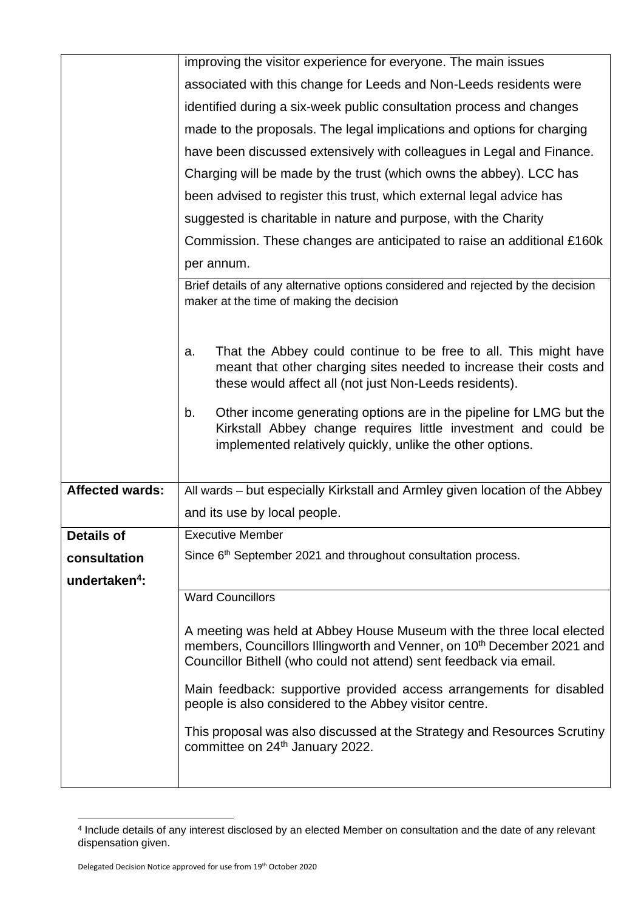|                           | improving the visitor experience for everyone. The main issues                                                                                                                                                                    |  |  |  |
|---------------------------|-----------------------------------------------------------------------------------------------------------------------------------------------------------------------------------------------------------------------------------|--|--|--|
|                           | associated with this change for Leeds and Non-Leeds residents were                                                                                                                                                                |  |  |  |
|                           | identified during a six-week public consultation process and changes                                                                                                                                                              |  |  |  |
|                           | made to the proposals. The legal implications and options for charging                                                                                                                                                            |  |  |  |
|                           | have been discussed extensively with colleagues in Legal and Finance.                                                                                                                                                             |  |  |  |
|                           | Charging will be made by the trust (which owns the abbey). LCC has                                                                                                                                                                |  |  |  |
|                           | been advised to register this trust, which external legal advice has                                                                                                                                                              |  |  |  |
|                           | suggested is charitable in nature and purpose, with the Charity                                                                                                                                                                   |  |  |  |
|                           | Commission. These changes are anticipated to raise an additional £160k                                                                                                                                                            |  |  |  |
|                           | per annum.                                                                                                                                                                                                                        |  |  |  |
|                           | Brief details of any alternative options considered and rejected by the decision<br>maker at the time of making the decision                                                                                                      |  |  |  |
|                           | That the Abbey could continue to be free to all. This might have<br>a.<br>meant that other charging sites needed to increase their costs and<br>these would affect all (not just Non-Leeds residents).                            |  |  |  |
|                           | Other income generating options are in the pipeline for LMG but the<br>b.<br>Kirkstall Abbey change requires little investment and could be<br>implemented relatively quickly, unlike the other options.                          |  |  |  |
| <b>Affected wards:</b>    | All wards – but especially Kirkstall and Armley given location of the Abbey                                                                                                                                                       |  |  |  |
|                           | and its use by local people.                                                                                                                                                                                                      |  |  |  |
| <b>Details of</b>         | <b>Executive Member</b>                                                                                                                                                                                                           |  |  |  |
| consultation              | Since 6 <sup>th</sup> September 2021 and throughout consultation process.                                                                                                                                                         |  |  |  |
| undertaken <sup>4</sup> : |                                                                                                                                                                                                                                   |  |  |  |
|                           | <b>Ward Councillors</b>                                                                                                                                                                                                           |  |  |  |
|                           | A meeting was held at Abbey House Museum with the three local elected<br>members, Councillors Illingworth and Venner, on 10 <sup>th</sup> December 2021 and<br>Councillor Bithell (who could not attend) sent feedback via email. |  |  |  |
|                           | Main feedback: supportive provided access arrangements for disabled<br>people is also considered to the Abbey visitor centre.                                                                                                     |  |  |  |
|                           | This proposal was also discussed at the Strategy and Resources Scrutiny<br>committee on 24th January 2022.                                                                                                                        |  |  |  |
|                           |                                                                                                                                                                                                                                   |  |  |  |

<sup>4</sup> Include details of any interest disclosed by an elected Member on consultation and the date of any relevant dispensation given.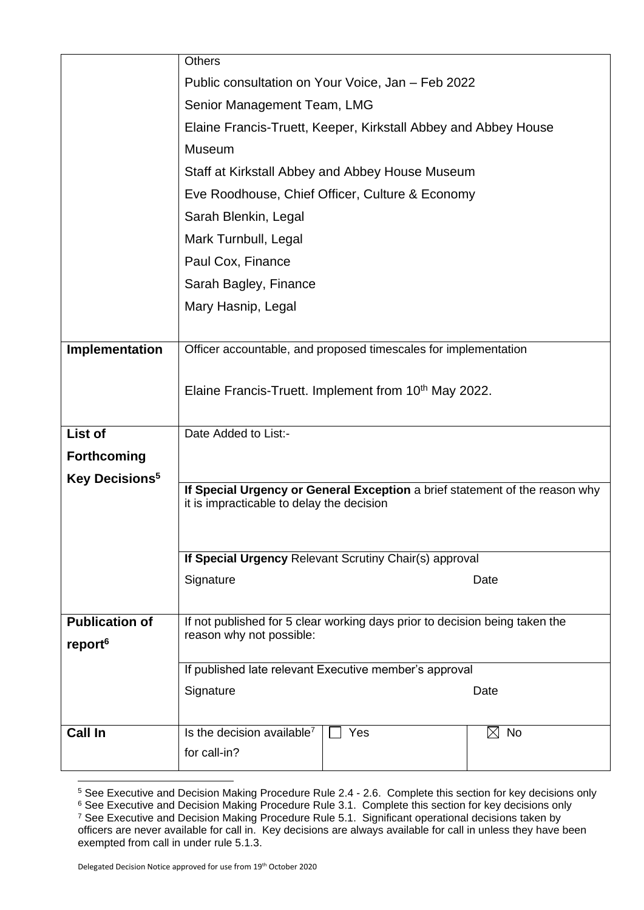|                            | <b>Others</b>                                                                                                            |     |                |  |  |
|----------------------------|--------------------------------------------------------------------------------------------------------------------------|-----|----------------|--|--|
|                            | Public consultation on Your Voice, Jan - Feb 2022                                                                        |     |                |  |  |
|                            | Senior Management Team, LMG                                                                                              |     |                |  |  |
|                            | Elaine Francis-Truett, Keeper, Kirkstall Abbey and Abbey House                                                           |     |                |  |  |
|                            | Museum                                                                                                                   |     |                |  |  |
|                            | Staff at Kirkstall Abbey and Abbey House Museum                                                                          |     |                |  |  |
|                            | Eve Roodhouse, Chief Officer, Culture & Economy                                                                          |     |                |  |  |
|                            | Sarah Blenkin, Legal                                                                                                     |     |                |  |  |
|                            | Mark Turnbull, Legal                                                                                                     |     |                |  |  |
|                            | Paul Cox, Finance                                                                                                        |     |                |  |  |
|                            | Sarah Bagley, Finance                                                                                                    |     |                |  |  |
|                            | Mary Hasnip, Legal                                                                                                       |     |                |  |  |
|                            |                                                                                                                          |     |                |  |  |
| Implementation             | Officer accountable, and proposed timescales for implementation                                                          |     |                |  |  |
|                            |                                                                                                                          |     |                |  |  |
|                            | Elaine Francis-Truett. Implement from 10 <sup>th</sup> May 2022.                                                         |     |                |  |  |
|                            |                                                                                                                          |     |                |  |  |
| List of                    | Date Added to List:-                                                                                                     |     |                |  |  |
| <b>Forthcoming</b>         |                                                                                                                          |     |                |  |  |
| Key Decisions <sup>5</sup> | If Special Urgency or General Exception a brief statement of the reason why<br>it is impracticable to delay the decision |     |                |  |  |
|                            |                                                                                                                          |     |                |  |  |
|                            | If Special Urgency Relevant Scrutiny Chair(s) approval                                                                   |     |                |  |  |
|                            |                                                                                                                          |     |                |  |  |
|                            | Signature                                                                                                                |     | Date           |  |  |
|                            |                                                                                                                          |     |                |  |  |
| <b>Publication of</b>      | If not published for 5 clear working days prior to decision being taken the                                              |     |                |  |  |
| report <sup>6</sup>        | reason why not possible:                                                                                                 |     |                |  |  |
|                            | If published late relevant Executive member's approval                                                                   |     |                |  |  |
|                            | Signature                                                                                                                |     | Date           |  |  |
|                            |                                                                                                                          |     |                |  |  |
| <b>Call In</b>             | Is the decision available <sup>7</sup>                                                                                   | Yes | $\boxtimes$ No |  |  |
|                            | for call-in?                                                                                                             |     |                |  |  |
|                            |                                                                                                                          |     |                |  |  |

<sup>&</sup>lt;sup>5</sup> See Executive and Decision Making Procedure Rule 2.4 - 2.6. Complete this section for key decisions only

 $^6$  See Executive and Decision Making Procedure Rule 3.1. Complete this section for key decisions only <sup>7</sup> See Executive and Decision Making Procedure Rule 5.1. Significant operational decisions taken by officers are never available for call in. Key decisions are always available for call in unless they have been exempted from call in under rule 5.1.3.